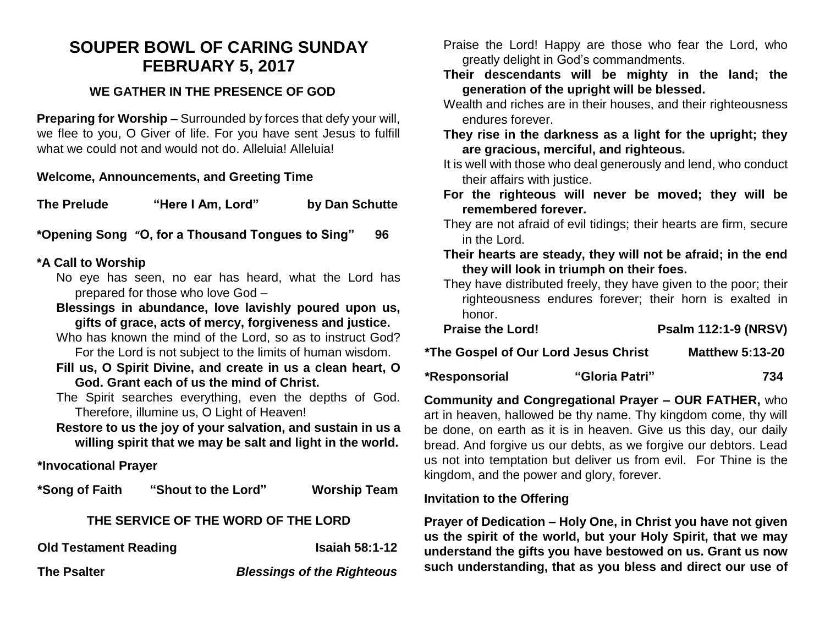## **SOUPER BOWL OF CARING SUNDAY FEBRUARY 5, 2017**

## **WE GATHER IN THE PRESENCE OF GOD**

**Preparing for Worship –** Surrounded by forces that defy your will, we flee to you, O Giver of life. For you have sent Jesus to fulfill what we could not and would not do. Alleluia! Alleluia!

#### **Welcome, Announcements, and Greeting Time**

**The Prelude "Here I Am, Lord" by Dan Schutte**

**\*Opening Song "O, for a Thousand Tongues to Sing" 96**

## **\*A Call to Worship**

- No eye has seen, no ear has heard, what the Lord has prepared for those who love God –
- **Blessings in abundance, love lavishly poured upon us, gifts of grace, acts of mercy, forgiveness and justice.**
- Who has known the mind of the Lord, so as to instruct God? For the Lord is not subject to the limits of human wisdom.
- **Fill us, O Spirit Divine, and create in us a clean heart, O God. Grant each of us the mind of Christ.**
- The Spirit searches everything, even the depths of God. Therefore, illumine us, O Light of Heaven!
- **Restore to us the joy of your salvation, and sustain in us a willing spirit that we may be salt and light in the world.**

## **\*Invocational Prayer**

**\*Song of Faith "Shout to the Lord" Worship Team**

#### **THE SERVICE OF THE WORD OF THE LORD**

**Old Testament Reading Isaiah 58:1-12** 

**The Psalter** *Blessings of the Righteous*

Praise the Lord! Happy are those who fear the Lord, who greatly delight in God's commandments.

- **Their descendants will be mighty in the land; the generation of the upright will be blessed.**
- Wealth and riches are in their houses, and their righteousness endures forever.
- **They rise in the darkness as a light for the upright; they are gracious, merciful, and righteous.**
- It is well with those who deal generously and lend, who conduct their affairs with justice.
- **For the righteous will never be moved; they will be remembered forever.**
- They are not afraid of evil tidings; their hearts are firm, secure in the Lord.
- **Their hearts are steady, they will not be afraid; in the end they will look in triumph on their foes.**
- They have distributed freely, they have given to the poor; their righteousness endures forever; their horn is exalted in honor.

| <b>Praise the Lord!</b>              | <b>Psalm 112:1-9 (NRSV)</b> |  |
|--------------------------------------|-----------------------------|--|
| *The Gospel of Our Lord Jesus Christ | <b>Matthew 5:13-20</b>      |  |

| *Responsorial | "Gloria Patri" | 734 |
|---------------|----------------|-----|

**Community and Congregational Prayer – OUR FATHER,** who art in heaven, hallowed be thy name. Thy kingdom come, thy will be done, on earth as it is in heaven. Give us this day, our daily bread. And forgive us our debts, as we forgive our debtors. Lead us not into temptation but deliver us from evil. For Thine is the kingdom, and the power and glory, forever.

#### **Invitation to the Offering**

**Prayer of Dedication – Holy One, in Christ you have not given us the spirit of the world, but your Holy Spirit, that we may understand the gifts you have bestowed on us. Grant us now such understanding, that as you bless and direct our use of**